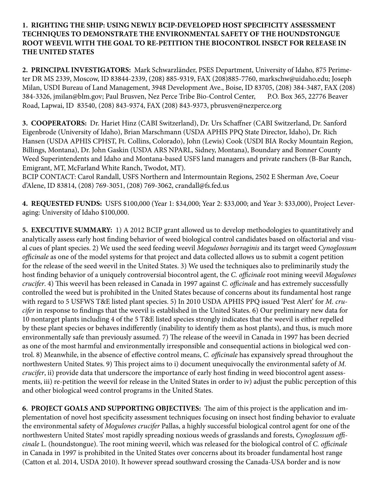### **1. RIGHTING THE SHIP: USING NEWLY BCIP-DEVELOPED HOST SPECIFICITY ASSESSMENT TECHNIQUES TO DEMONSTRATE THE ENVIRONMENTAL SAFETY OF THE HOUNDSTONGUE ROOT WEEVIL WITH THE GOAL TO RE-PETITION THE BIOCONTROL INSECT FOR RELEASE IN THE UNITED STATES**

**2. PRINCIPAL INVESTIGATORS:** Mark Schwarzländer, PSES Department, University of Idaho, 875 Perimeter DR MS 2339, Moscow, ID 83844-2339, (208) 885-9319, FAX (208)885-7760, markschw@uidaho.edu; Joseph Milan, USDI Bureau of Land Management, 3948 Development Ave., Boise, ID 83705, (208) 384-3487, FAX (208) 384-3326, jmilan@blm.gov; Paul Brusven, Nez Perce Tribe Bio-Control Center, P.O. Box 365, 22776 Beaver Road, Lapwai, ID 83540, (208) 843-9374, FAX (208) 843-9373, pbrusven@nezperce.org

**3. COOPERATORS:** Dr. Hariet Hinz (CABI Switzerland), Dr. Urs Schaffner (CABI Switzerland, Dr. Sanford Eigenbrode (University of Idaho), Brian Marschmann (USDA APHIS PPQ State Director, Idaho), Dr. Rich Hansen (USDA APHIS CPHST, Ft. Collins, Colorado), John (Lewis) Cook (USDI BIA Rocky Mountain Region, Billings, Montana), Dr. John Gaskin (USDA ARS NPARL, Sidney, Montana), Boundary and Bonner County Weed Superintendents and Idaho and Montana-based USFS land managers and private ranchers (B-Bar Ranch, Emigrant, MT, McFarland White Ranch, Twodot, MT).

BCIP CONTACT: Carol Randall, USFS Northern and Intermountain Regions, 2502 E Sherman Ave, Coeur d'Alene, ID 83814, (208) 769-3051, (208) 769-3062, crandall@fs.fed.us

**4. REQUESTED FUNDS:** USFS \$100,000 (Year 1: \$34,000; Year 2: \$33,000; and Year 3: \$33,000), Project Leveraging: University of Idaho \$100,000.

**5. EXECUTIVE SUMMARY:** 1) A 2012 BCIP grant allowed us to develop methodologies to quantitatively and analytically assess early host finding behavior of weed biological control candidates based on olfactorial and visual cues of plant species. 2) We used the seed feeding weevil *Mogulones borraginis* and its target weed *Cynoglossum officinale* as one of the model systems for that project and data collected allows us to submit a cogent petition for the release of the seed weevil in the United States. 3) We used the techniques also to preliminarily study the host finding behavior of a uniquely controversial biocontrol agent, the *C. officinale* root mining weevil *Mogulones crucifer*. 4) This weevil has been released in Canada in 1997 against *C. officinale* and has extremely successfully controlled the weed but is prohibited in the United States because of concerns about its fundamental host range with regard to 5 USFWS T&E listed plant species. 5) In 2010 USDA APHIS PPQ issued 'Pest Alert' for *M. crucifer* in response to findings that the weevil is established in the United States. 6) Our preliminary new data for 10 nontarget plants including 4 of the 5 T&E listed species strongly indicates that the weevil is either repelled by these plant species or behaves indifferently (inability to identify them as host plants), and thus, is much more environmentally safe than previously assumed. 7) The release of the weevil in Canada in 1997 has been decried as one of the most harmful and environmentally irresponsible and consequential actions in biological wed control. 8) Meanwhile, in the absence of effective control means, *C. officinale* has expansively spread throughout the northwestern United States. 9) This project aims to i) document unequivocally the environmental safety of *M. crucifer*, ii) provide data that underscore the importance of early host finding in weed biocontrol agent assessments, iii) re-petition the weevil for release in the United States in order to iv) adjust the public perception of this and other biological weed control programs in the United States.

**6. PROJECT GOALS AND SUPPORTING OBJECTIVES:** The aim of this project is the application and implementation of novel host specificity assessment techniques focusing on insect host finding behavior to evaluate the environmental safety of *Mogulones crucifer* Pallas, a highly successful biological control agent for one of the northwestern United States' most rapidly spreading noxious weeds of grasslands and forests, *Cynoglossum officinale* L. (houndstongue). The root mining weevil, which was released for the biological control of *C. officinale* in Canada in 1997 is prohibited in the United States over concerns about its broader fundamental host range (Catton et al. 2014, USDA 2010). It however spread southward crossing the Canada-USA border and is now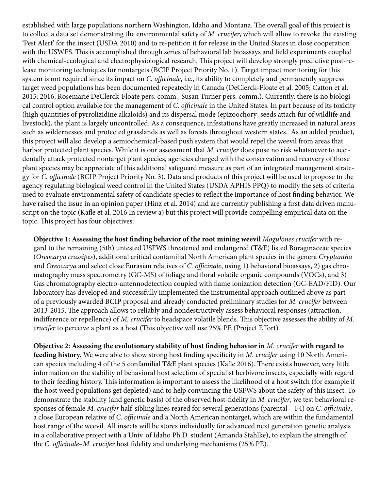established with large populations northern Washington, Idaho and Montana. The overall goal of this project is to collect a data set demonstrating the environmental safety of *M. crucifer*, which will allow to revoke the existing 'Pest Alert' for the insect (USDA 2010) and to re-petition it for release in the United States in close cooperation with the USWFS. This is accomplished through series of behavioral lab bioassays and field experiments coupled with chemical-ecological and electrophysiological research. This project will develop strongly predictive post-release monitoring techniques for nontargets (BCIP Project Priority No. 1). Target impact monitoring for this system is not required since its impact on *C. officinale*, i.e., its ability to completely and permanently suppress target weed populations has been documented repeatedly in Canada (DeClerck-Floate et al. 2005; Catton et al. 2015; 2016, Rosemarie DeClerck-Floate pers. comm., Susan Turner pers. comm.). Currently, there is no biological control option available for the management of *C. officinale* in the United States. In part because of its toxicity (high quantities of pyrrolizidine alkaloids) and its dispersal mode (epizoochory; seeds attach fur of wildlife and livestock), the plant is largely uncontrolled. As a consequence, infestations have greatly increased in natural areas such as wildernesses and protected grasslands as well as forests throughout western states. As an added product, this project will also develop a semiochemical-based push system that would repel the weevil from areas that harbor protected plant species. While it is our assessment that *M. crucifer* does pose no risk whatsoever to accidentally attack protected nontarget plant species, agencies charged with the conservation and recovery of those plant species may be appreciate of this additional safeguard measure as part of an integrated management strategy for *C. officinale* (BCIP Project Priority No. 3). Data and products of this project will be used to propose to the agency regulating biological weed control in the United States (USDA APHIS PPQ) to modify the sets of criteria used to evaluate environmental safety of candidate species to reflect the importance of host finding behavior. We have raised the issue in an opinion paper (Hinz et al. 2014) and are currently publishing a first data driven manuscript on the topic (Kafle et al. 2016 In review a) but this project will provide compelling empirical data on the topic. This project has four objectives:

**Objective 1: Assessing the host finding behavior of the root mining weevil** *Mogulones crucifer* with regard to the remaining (5th) untested USFWS threatened and endangered (T&E) listed Boraginaceae species (*Oreocarya crassipes*), additional critical confamilial North American plant species in the genera *Cryptantha* and *Oreocarya* and select close Eurasian relatives of *C. officinale*, using 1) behavioral bioassays, 2) gas chromatography mass spectrometry (GC-MS) of foliage and floral volatile organic compounds (VOCs), and 3) Gas chromatography electro-antennodetection coupled with flame ionization detection (GC-EAD/FID). Our laboratory has developed and successfully implemented the instrumental approach outlined above as part of a previously awarded BCIP proposal and already conducted preliminary studies for *M. crucifer* between 2013-2015. The approach allows to reliably and nondestructively assess behavioral responses (attraction, indifference or repellence) of *M. crucifer* to headspace volatile blends. This objective assesses the ability of *M. crucifer* to perceive a plant as a host (This objective will use 25% PE (Project Effort).

**Objective 2: Assessing the evolutionary stability of host finding behavior in** *M. crucifer* **with regard to feeding history.** We were able to show strong host finding specificity in *M. crucifer* using 10 North American species including 4 of the 5 confamilial T&E plant species (Kafle 2016). There exists however, very little information on the stability of behavioral host selection of specialist herbivore insects, especially with regard to their feeding history. This information is important to assess the likelihood of a host switch (for example if the host weed populations get depleted) and to help convincing the USFWS about the safety of this insect. To demonstrate the stability (and genetic basis) of the observed host-fidelity in *M. crucifer*, we test behavioral responses of female *M. crucifer* half-sibling lines reared for several generations (parental – F4) on *C. officinale*, a close European relative of *C. officinale* and a North American nontarget, which are within the fundamental host range of the weevil. All insects will be stores individually for advanced next generation genetic analysis in a collaborative project with a Univ. of Idaho Ph.D. student (Amanda Stahlke), to explain the strength of the *C. officinale*–*M. crucifer* host fidelity and underlying mechanisms (25% PE).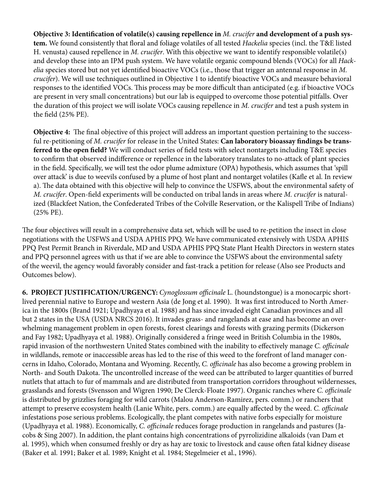**Objective 3: Identification of volatile(s) causing repellence in** *M. crucifer* **and development of a push system.** We found consistently that floral and foliage volatiles of all tested *Hackelia* species (incl. the T&E listed H. venusta) caused repellence in *M. crucifer*. With this objective we want to identify responsible volatile(s) and develop these into an IPM push system. We have volatile organic compound blends (VOCs) for all *Hackelia* species stored but not yet identified bioactive VOCs (i.e., those that trigger an antennal response in *M. crucifer*). We will use techniques outlined in Objective 1 to identify bioactive VOCs and measure behavioral responses to the identified VOCs. This process may be more difficult than anticipated (e.g. if bioactive VOCs are present in very small concentrations) but our lab is equipped to overcome those potential pitfalls. Over the duration of this project we will isolate VOCs causing repellence in *M. crucifer* and test a push system in the field (25% PE).

**Objective 4:** The final objective of this project will address an important question pertaining to the successful re-petitioning of *M. crucifer* for release in the United States: **Can laboratory bioassay findings be transferred to the open field?** We will conduct series of field tests with select nontargets including T&E species to confirm that observed indifference or repellence in the laboratory translates to no-attack of plant species in the field. Specifically, we will test the odor plume admixture (OPA) hypothesis, which assumes that 'spill over attack' is due to weevils confused by a plume of host plant and nontarget volatiles (Kafle et al. In review a). The data obtained with this objective will help to convince the USFWS, about the environmental safety of *M. crucifer*. Open-field experiments will be conducted on tribal lands in areas where *M. crucifer* is naturalized (Blackfeet Nation, the Confederated Tribes of the Colville Reservation, or the Kalispell Tribe of Indians) (25% PE).

The four objectives will result in a comprehensive data set, which will be used to re-petition the insect in close negotiations with the USFWS and USDA APHIS PPQ. We have communicated extensively with USDA APHIS PPQ Pest Permit Branch in Riverdale, MD and USDA APHIS PPQ State Plant Health Directors in western states and PPQ personnel agrees with us that if we are able to convince the USFWS about the environmental safety of the weevil, the agency would favorably consider and fast-track a petition for release (Also see Products and Outcomes below).

**6. PROJECT JUSTIFICATION/URGENCY:** *Cynoglossum officinale* L. (houndstongue) is a monocarpic shortlived perennial native to Europe and western Asia (de Jong et al. 1990). It was first introduced to North America in the 1800s (Brand 1921; Upadhyaya et al. 1988) and has since invaded eight Canadian provinces and all but 2 states in the USA (USDA NRCS 2016). It invades grass- and rangelands at ease and has become an overwhelming management problem in open forests, forest clearings and forests with grazing permits (Dickerson and Fay 1982; Upadhyaya et al. 1988). Originally considered a fringe weed in British Columbia in the 1980s, rapid invasion of the northwestern United States combined with the inability to effectively manage *C. officinale* in wildlands, remote or inaccessible areas has led to the rise of this weed to the forefront of land manager concerns in Idaho, Colorado, Montana and Wyoming. Recently, *C. officinale* has also become a growing problem in North- and South Dakota. The uncontrolled increase of the weed can be attributed to larger quantities of burred nutlets that attach to fur of mammals and are distributed from transportation corridors throughout wildernesses, grasslands and forests (Svensson and Wigren 1990; De Clerck-Floate 1997). Organic ranches where *C. officinale* is distributed by grizzlies foraging for wild carrots (Malou Anderson-Ramirez, pers. comm.) or ranchers that attempt to preserve ecosystem health (Lanie White, pers. comm.) are equally affected by the weed. *C. officinale* infestations pose serious problems. Ecologically, the plant competes with native forbs especially for moisture (Upadhyaya et al. 1988). Economically, *C. officinale* reduces forage production in rangelands and pastures (Jacobs & Sing 2007). In addition, the plant contains high concentrations of pyrrolizidine alkaloids (van Dam et al. 1995), which when consumed freshly or dry as hay are toxic to livestock and cause often fatal kidney disease (Baker et al. 1991; Baker et al. 1989; Knight et al. 1984; Stegelmeier et al., 1996).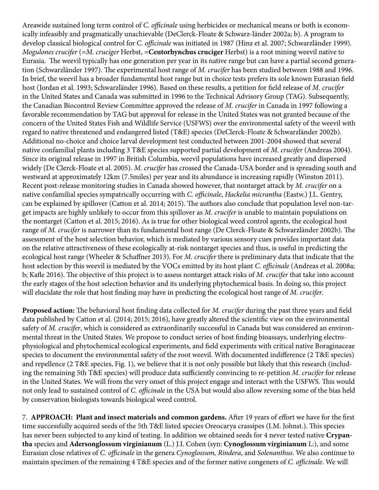Areawide sustained long term control of *C. officinale* using herbicides or mechanical means or both is economically infeasibly and pragmatically unachievable (DeClerck-Floate & Schwarz-länder 2002a; b). A program to develop classical biological control for *C. officinale* was initiated in 1987 (Hinz et al. 2007; Schwarzländer 1999). *Mogulones crucifer* (=*M. cruciger* Herbst, =**Ceutorhynchus cruciger** Herbst) is a root mining weevil native to Eurasia. The weevil typically has one generation per year in its native range but can have a partial second generation (Schwarzländer 1997). The experimental host range of *M. crucifer* has been studied between 1988 and 1996. In brief, the weevil has a broader fundamental host range but in choice tests prefers its sole known Eurasian field host (Jordan et al. 1993; Schwarzländer 1996). Based on these results, a petition for field release of *M. crucifer*  in the United States and Canada was submitted in 1996 to the Technical Advisory Group (TAG). Subsequently, the Canadian Biocontrol Review Committee approved the release of *M. crucifer* in Canada in 1997 following a favorable recommendation by TAG but approval for release in the United States was not granted because of the concern of the United States Fish and Wildlife Service (USFWS) over the environmental safety of the weevil with regard to native threatened and endangered listed (T&E) species (DeClerck-Floate & Schwarzländer 2002b). Additional no-choice and choice larval development test conducted between 2001-2004 showed that several native confamilial plants including 3 T&E species supported partial development of *M. crucifer* (Andreas 2004). Since its original release in 1997 in British Columbia, weevil populations have increased greatly and dispersed widely (De Clerck-Floate et al. 2005). *M. crucifer* has crossed the Canada-USA border and is spreading south and westward at approximately 12km (7.5miles) per year and its abundance is increasing rapidly (Winston 2011). Recent post-release monitoring studies in Canada showed however, that nontarget attack by *M. crucifer* on a native confamilial species sympatrically occurring with *C. officinale*, *Hackelia micrantha* (Eastw.) J.L. Gentry, can be explained by spillover (Catton et al. 2014; 2015). The authors also conclude that population level non-target impacts are highly unlikely to occur from this spillover as *M. crucifer* is unable to maintain populations on the nontarget (Catton et al. 2015; 2016). As is true for other biological weed control agents, the ecological host range of *M. crucifer* is narrower than its fundamental host range (De Clerck-Floate & Schwarzländer 2002b). The assessment of the host selection behavior, which is mediated by various sensory cues provides important data on the relative attractiveness of these ecologically at-risk nontarget species and thus, is useful in predicting the ecological host range (Wheeler & Schaffner 2013). For *M. crucifer* there is preliminary data that indicate that the host selection by this weevil is mediated by the VOCs emitted by its host plant *C. officinale* (Andreas et al. 2008a; b; Kafle 2016). The objective of this project is to assess nontarget attack risks of *M. crucifer* that take into account the early stages of the host selection behavior and its underlying phytochemical basis. In doing so, this project will elucidate the role that host finding may have in predicting the ecological host range of *M. crucifer*.

**Proposed action:** The behavioral host finding data collected for *M. crucifer* during the past three years and field data published by Catton et al. (2014; 2015; 2016), have greatly altered the scientific view on the environmental safety of *M. crucifer*, which is considered as extraordinarily successful in Canada but was considered an environmental threat in the United States. We propose to conduct series of host finding bioassays, underlying electrophysiological and phytochemical ecological experiments, and field experiments with critical native Boraginaceae species to document the environmental safety of the root weevil. With documented indifference (2 T&E species) and repellence (2 T&E species, Fig. 1), we believe that it is not only possible but likely that this research (including the remaining 5th T&E species) will produce data sufficiently convincing to re-petition *M. crucifer* for release in the United States. We will from the very onset of this project engage and interact with the USFWS. This would not only lead to sustained control of *C. officinale* in the USA but would also allow reversing some of the bias held by conservation biologists towards biological weed control.

7. **APPROACH: Plant and insect materials and common gardens.** After 19 years of effort we have for the first time successfully acquired seeds of the 5th T&E listed species Oreocarya crassipes (I.M. Johnst.). This species has never been subjected to any kind of testing. In addition we obtained seeds for 4 never tested native **Crypantha** species and **Adersonglossum virginianum** (L.) J.I. Cohen (syn: **Cynoglossum virginianum** L:), and some Eurasian close relatives of *C. officinale* in the genera *Cynoglossum, Rindera*, and *Solenanthus*. We also continue to maintain specimen of the remaining 4 T&E species and of the former native congeners of *C. officinale*. We will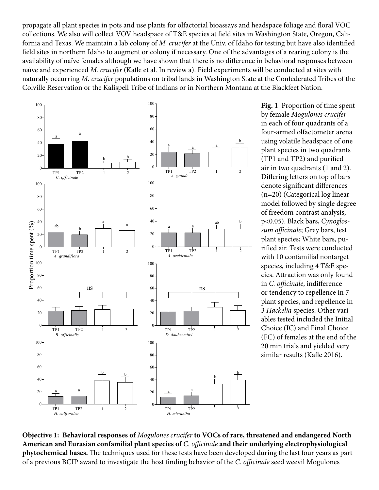propagate all plant species in pots and use plants for olfactorial bioassays and headspace foliage and floral VOC collections. We also will collect VOV headspace of T&E species at field sites in Washington State, Oregon, California and Texas. We maintain a lab colony of *M. crucifer* at the Univ. of Idaho for testing but have also identified field sites in northern Idaho to augment or colony if necessary. One of the advantages of a rearing colony is the availability of naïve females although we have shown that there is no difference in behavioral responses between naïve and experienced *M. crucifer* (Kafle et al. In review a). Field experiments will be conducted at sites with naturally occurring *M. crucifer* populations on tribal lands in Washington State at the Confederated Tribes of the Colville Reservation or the Kalispell Tribe of Indians or in Northern Montana at the Blackfeet Nation.



**Fig. 1** Proportion of time spent by female *Mogulones crucifer*  in each of four quadrants of a four-armed olfactometer arena using volatile headspace of one plant species in two quadrants (TP1 and TP2) and purified air in two quadrants (1 and 2). Differing letters on top of bars denote significant differences (n=20) (Categorical log linear model followed by single degree of freedom contrast analysis, p<0.05). Black bars, *Cynoglossum officinale*; Grey bars, test plant species; White bars, purified air. Tests were conducted with 10 confamilial nontarget species, including 4 T&E species. Attraction was only found in *C. officinale*, indifference or tendency to repellence in 7 plant species, and repellence in 3 *Hackelia* species. Other variables tested included the Initial Choice (IC) and Final Choice (FC) of females at the end of the 20 min trials and yielded very similar results (Kafle 2016).

**Objective 1: Behavioral responses of** *Mogulones crucifer* **to VOCs of rare, threatened and endangered North American and Eurasian confamilial plant species of** *C. officinale* **and their underlying electrophysiological phytochemical bases.** The techniques used for these tests have been developed during the last four years as part of a previous BCIP award to investigate the host finding behavior of the *C. officinale* seed weevil Mogulones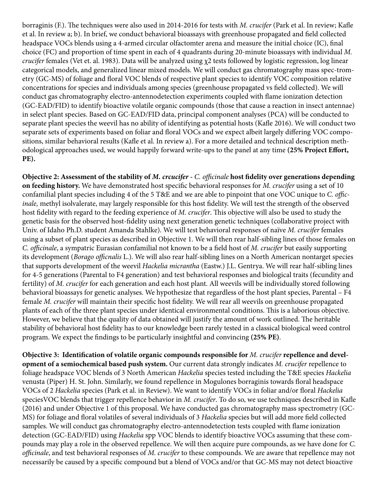borraginis (F.). The techniques were also used in 2014-2016 for tests with *M. crucifer* (Park et al. In review; Kafle et al. In review a; b). In brief, we conduct behavioral bioassays with greenhouse propagated and field collected headspace VOCs blends using a 4-armed circular olfactomter arena and measure the initial choice (IC), final choice (FC) and proportion of time spent in each of 4 quadrants during 20-minute bioassays with individual *M. crucifer* females (Vet et. al. 1983). Data will be analyzed using χ2 tests followed by logistic regression, log linear categorical models, and generalized linear mixed models. We will conduct gas chromatography mass spec-trometry (GC-MS) of foliage and floral VOC blends of respective plant species to identify VOC composition relative concentrations for species and individuals among species (greenhouse propagated vs field collected). We will conduct gas chromatography electro-antennodetection experiments coupled with flame ionization detection (GC-EAD/FID) to identify bioactive volatile organic compounds (those that cause a reaction in insect antennae) in select plant species. Based on GC-EAD/FID data, principal component analyses (PCA) will be conducted to separate plant species the weevil has no ability of identifying as potential hosts (Kafle 2016). We will conduct two separate sets of experiments based on foliar and floral VOCs and we expect albeit largely differing VOC compositions, similar behavioral results (Kafle et al. In review a). For a more detailed and technical description methodological approaches used, we would happily forward write-ups to the panel at any time **(25% Project Effort, PE).**

**Objective 2: Assessment of the stability of** *M. crcucifer - C. officinale* **host fidelity over generations depending on feeding history.** We have demonstrated host specific behavioral responses for *M. crucifer* using a set of 10 confamilial plant species including 4 of the 5 T&E and we are able to pinpoint that one VOC unique to *C. officinale,* methyl isolvalerate, may largely responsible for this host fidelity. We will test the strength of the observed host fidelity with regard to the feeding experience of *M. crucifer*. This objective will also be used to study the genetic basis for the observed host-fidelity using next generation genetic techniques (collaborative project with Univ. of Idaho Ph.D. student Amanda Stahlke). We will test behavioral responses of naïve *M. crucifer* females using a subset of plant species as described in Objective 1. We will then rear half-sibling lines of those females on *C. officinale*, a sympatric Eurasian confamilial not known to be a field host of *M. crucifer* but easily supporting its development (*Borago officnalis* L.). We will also rear half-sibling lines on a North American nontarget species that supports development of the weevil *Hackelia micrantha* (Eastw.) J.L. Gentrya. We will rear half-sibling lines for 4-5 generations (Parental to F4 generation) and test behavioral responses and biological traits (fecundity and fertility) of *M. crucifer* for each generation and each host plant. All weevils will be individually stored following behavioral bioassays for genetic analyses. We hypothesize that regardless of the host plant species, Parental – F4 female *M. crucifer* will maintain their specific host fidelity. We will rear all weevils on greenhouse propagated plants of each of the three plant species under identical environmental conditions. This is a laborious objective. However, we believe that the quality of data obtained will justify the amount of work outlined. The heritable stability of behavioral host fidelity has to our knowledge been rarely tested in a classical biological weed control program. We expect the findings to be particularly insightful and convincing **(25% PE)**.

**Objective 3: Identification of volatile organic compounds responsible for** *M. crucifer* **repellence and development of a semiochemical based push system.** Our current data strongly indicates *M. crucifer* repellence to foliage headspace VOC blends of 3 North American *Hackelia* species tested including the T&E species *Hackelia*  venusta (Piper) H. St. John. Similarly, we found repellence in Mogulones borraginis towards floral headspace VOCs of 2 *Hackelia* species (Park et al. in Review). We want to identify VOCs in foliar and/or floral *Hackelia*  speciesVOC blends that trigger repellence behavior in *M. crucifer*. To do so, we use techniques described in Kafle (2016) and under Objective 1 of this proposal. We have conducted gas chromatography mass spectrometry (GC-MS) for foliage and floral volatiles of several individuals of 3 *Hackelia* species but will add more field collected samples. We will conduct gas chromatography electro-antennodetection tests coupled with flame ionization detection (GC-EAD/FID) using *Hackelia* spp VOC blends to identify bioactive VOCs assuming that these compounds may play a role in the observed repellence. We will then acquire pure compounds, as we have done for *C. officinale*, and test behavioral responses of *M. crucifer* to these compounds. We are aware that repellence may not necessarily be caused by a specific compound but a blend of VOCs and/or that GC-MS may not detect bioactive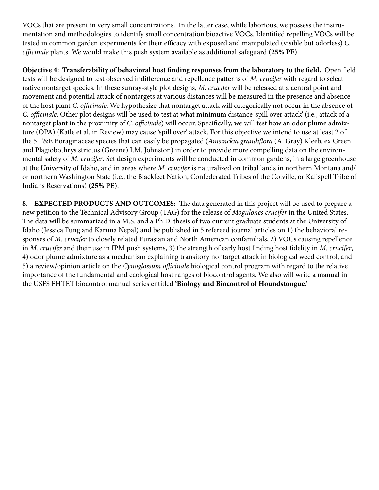VOCs that are present in very small concentrations. In the latter case, while laborious, we possess the instrumentation and methodologies to identify small concentration bioactive VOCs. Identified repelling VOCs will be tested in common garden experiments for their efficacy with exposed and manipulated (visible but odorless) *C. officinale* plants. We would make this push system available as additional safeguard **(25% PE)**.

**Objective 4: Transferability of behavioral host finding responses from the laboratory to the field.** Open field tests will be designed to test observed indifference and repellence patterns of *M. crucifer* with regard to select native nontarget species. In these sunray-style plot designs, *M. crucifer* will be released at a central point and movement and potential attack of nontargets at various distances will be measured in the presence and absence of the host plant *C. officinale*. We hypothesize that nontarget attack will categorically not occur in the absence of *C. officinale*. Other plot designs will be used to test at what minimum distance 'spill over attack' (i.e., attack of a nontarget plant in the proximity of *C. officinale*) will occur. Specifically, we will test how an odor plume admixture (OPA) (Kafle et al. in Review) may cause 'spill over' attack. For this objective we intend to use at least 2 of the 5 T&E Boraginaceae species that can easily be propagated (*Amsinckia grandiflora* (A. Gray) Kleeb. ex Green and Plagiobothrys strictus (Greene) I.M. Johnston) in order to provide more compelling data on the environmental safety of *M. crucifer*. Set design experiments will be conducted in common gardens, in a large greenhouse at the University of Idaho, and in areas where *M. crucifer* is naturalized on tribal lands in northern Montana and/ or northern Washington State (i.e., the Blackfeet Nation, Confederated Tribes of the Colville, or Kalispell Tribe of Indians Reservations) **(25% PE)**.

**8. EXPECTED PRODUCTS AND OUTCOMES:** The data generated in this project will be used to prepare a new petition to the Technical Advisory Group (TAG) for the release of *Mogulones crucifer* in the United States. The data will be summarized in a M.S. and a Ph.D. thesis of two current graduate students at the University of Idaho (Jessica Fung and Karuna Nepal) and be published in 5 refereed journal articles on 1) the behavioral responses of *M. crucifer* to closely related Eurasian and North American confamilials, 2) VOCs causing repellence in *M. crucifer* and their use in IPM push systems, 3) the strength of early host finding host fidelity in *M. crucifer*, 4) odor plume admixture as a mechanism explaining transitory nontarget attack in biological weed control, and 5) a review/opinion article on the *Cynoglossum officinale* biological control program with regard to the relative importance of the fundamental and ecological host ranges of biocontrol agents. We also will write a manual in the USFS FHTET biocontrol manual series entitled **'Biology and Biocontrol of Houndstongue.'**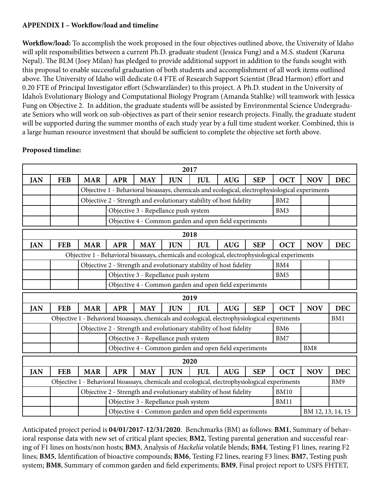## **APPENDIX I – Workflow/load and timeline**

**Workflow/load:** To accomplish the work proposed in the four objectives outlined above, the University of Idaho will split responsibilities between a current Ph.D. graduate student (Jessica Fung) and a M.S. student (Karuna Nepal). The BLM (Joey Milan) has pledged to provide additional support in addition to the funds sought with this proposal to enable successful graduation of both students and accomplishment of all work items outlined above. The University of Idaho will dedicate 0.4 FTE of Research Support Scientist (Brad Harmon) effort and 0.20 FTE of Principal Investigator effort (Schwarzländer) to this project. A Ph.D. student in the University of Idaho's Evolutionary Biology and Computational Biology Program (Amanda Stahlke) will teamwork with Jessica Fung on Objective 2. In addition, the graduate students will be assisted by Environmental Science Undergraduate Seniors who will work on sub-objectives as part of their senior research projects. Finally, the graduate student will be supported during the summer months of each study year by a full time student worker. Combined, this is a large human resource investment that should be sufficient to complete the objective set forth above.

# **Proposed timeline:**

| 2017       |            |                                                                                                       |                                                                                                |                                                        |                                                                                                |            |            |                 |                 |            |            |
|------------|------------|-------------------------------------------------------------------------------------------------------|------------------------------------------------------------------------------------------------|--------------------------------------------------------|------------------------------------------------------------------------------------------------|------------|------------|-----------------|-----------------|------------|------------|
| <b>JAN</b> | <b>FEB</b> | <b>MAR</b>                                                                                            | <b>APR</b>                                                                                     | <b>MAY</b>                                             | <b>JUN</b>                                                                                     | <b>JUL</b> | <b>AUG</b> | <b>SEP</b>      | <b>OCT</b>      | <b>NOV</b> | <b>DEC</b> |
|            |            |                                                                                                       | Objective 1 - Behavioral bioassays, chemicals and ecological, electrophysiological experiments |                                                        |                                                                                                |            |            |                 |                 |            |            |
|            |            |                                                                                                       | Objective 2 - Strength and evolutionary stability of host fidelity<br>BM <sub>2</sub>          |                                                        |                                                                                                |            |            |                 |                 |            |            |
|            |            |                                                                                                       |                                                                                                | Objective 3 - Repellance push system<br>BM3            |                                                                                                |            |            |                 |                 |            |            |
|            |            |                                                                                                       |                                                                                                | Objective 4 - Common garden and open field experiments |                                                                                                |            |            |                 |                 |            |            |
|            | 2018       |                                                                                                       |                                                                                                |                                                        |                                                                                                |            |            |                 |                 |            |            |
| <b>JAN</b> | <b>FEB</b> | <b>MAR</b>                                                                                            | <b>APR</b>                                                                                     | <b>MAY</b>                                             | <b>JUN</b>                                                                                     | <b>JUL</b> | <b>AUG</b> | <b>SEP</b>      | <b>OCT</b>      | <b>NOV</b> | <b>DEC</b> |
|            |            |                                                                                                       |                                                                                                |                                                        | Objective 1 - Behavioral bioassays, chemicals and ecological, electrophysiological experiments |            |            |                 |                 |            |            |
|            |            |                                                                                                       |                                                                                                |                                                        | Objective 2 - Strength and evolutionary stability of host fidelity                             |            |            |                 | BM4             |            |            |
|            |            |                                                                                                       |                                                                                                |                                                        | Objective 3 - Repellance push system                                                           |            |            |                 | BM <sub>5</sub> |            |            |
|            |            |                                                                                                       | Objective 4 - Common garden and open field experiments                                         |                                                        |                                                                                                |            |            |                 |                 |            |            |
|            |            |                                                                                                       |                                                                                                |                                                        | 2019                                                                                           |            |            |                 |                 |            |            |
| <b>JAN</b> | <b>FEB</b> | <b>MAR</b>                                                                                            | <b>APR</b>                                                                                     | <b>MAY</b>                                             | <b>JUN</b>                                                                                     | <b>IUL</b> | <b>AUG</b> | <b>SEP</b>      | <b>OCT</b>      | <b>NOV</b> | <b>DEC</b> |
|            |            | Objective 1 - Behavioral bioassays, chemicals and ecological, electrophysiological experiments<br>BM1 |                                                                                                |                                                        |                                                                                                |            |            |                 |                 |            |            |
|            |            |                                                                                                       | Objective 2 - Strength and evolutionary stability of host fidelity                             |                                                        |                                                                                                |            |            | BM <sub>6</sub> |                 |            |            |
|            |            |                                                                                                       | Objective 3 - Repellance push system                                                           |                                                        |                                                                                                |            |            | BM7             |                 |            |            |
|            |            |                                                                                                       | Objective 4 - Common garden and open field experiments                                         |                                                        |                                                                                                |            |            |                 | BM <sub>8</sub> |            |            |
| 2020       |            |                                                                                                       |                                                                                                |                                                        |                                                                                                |            |            |                 |                 |            |            |
|            |            |                                                                                                       |                                                                                                |                                                        |                                                                                                |            |            |                 |                 |            |            |
| <b>JAN</b> | <b>FEB</b> | <b>MAR</b>                                                                                            | <b>APR</b>                                                                                     | <b>MAY</b>                                             | <b>JUN</b>                                                                                     | <b>IUL</b> | <b>AUG</b> | <b>SEP</b>      | <b>OCT</b>      | <b>NOV</b> | <b>DEC</b> |
|            |            |                                                                                                       |                                                                                                |                                                        | Objective 1 - Behavioral bioassays, chemicals and ecological, electrophysiological experiments |            |            |                 |                 |            | BM9        |
|            |            |                                                                                                       |                                                                                                |                                                        | Objective 2 - Strength and evolutionary stability of host fidelity                             |            |            |                 | <b>BM10</b>     |            |            |
|            |            |                                                                                                       |                                                                                                |                                                        | Objective 3 - Repellance push system                                                           |            |            |                 | <b>BM11</b>     |            |            |

Anticipated project period is **04/01/2017-12/31/2020**. Benchmarks (BM) as follows: **BM1**, Summary of behavioral response data with new set of critical plant species; **BM2**, Testing parental generation and successful rearing of F1 lines on hosts/non hosts; **BM3**, Analysis of *Hackelia* volatile blends; **BM4**, Testing F1 lines, rearing F2 lines; **BM5**, Identification of bioactive compounds; **BM6**, Testing F2 lines, rearing F3 lines; **BM7**, Testing push system; **BM8**, Summary of common garden and field experiments; **BM9**, Final project report to USFS FHTET,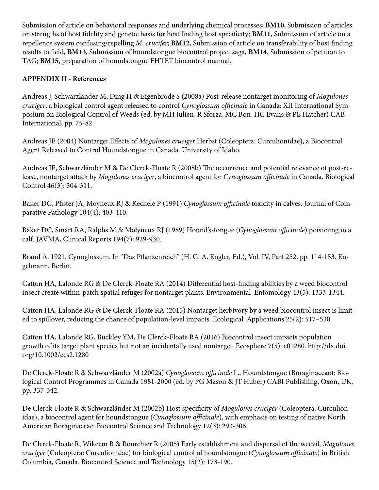Submission of article on behavioral responses and underlying chemical processes; **BM10**, Submission of articles on strengths of host fidelity and genetic basis for host finding host specificity; **BM11**, Submission of article on a repellence system confusing/repelling *M. crucifer*; **BM12**, Submission of article on transferability of host finding results to field, **BM13**, Submission of houndstongue biocontrol project saga, **BM14**, Submission of petition to TAG; **BM15**, preparation of houndstongue FHTET biocontrol manual.

# **APPENDIX II - References**

Andreas J, Schwarzländer M, Ding H & Eigenbrode S (2008a) Post-release nontarget monitoring of *Mogulones cruciger*, a biological control agent released to control *Cynoglossum officinale* in Canada: XII International Symposium on Biological Control of Weeds (ed. by MH Julien, R Sforza, MC Bon, HC Evans & PE Hatcher) CAB International, pp. 75-82.

Andreas JE (2004) Nontarget Effects of *Mogulones cruciger* Herbst (Coleoptera: Curculionidae), a Biocontrol Agent Released to Control Houndstongue in Canada. University of Idaho.

Andreas JE, Schwarzländer M & De Clerck-Floate R (2008b) The occurrence and potential relevance of post-release, nontarget attack by *Mogulones cruciger*, a biocontrol agent for *Cynoglossum officinale* in Canada. Biological Control 46(3): 304-311.

Baker DC, Pfister JA, Moyneux RJ & Kechele P (1991) *Cynoglossum officinale* toxicity in calves. Journal of Comparative Pathology 104(4): 403-410.

Baker DC, Smart RA, Ralphs M & Molyneux RJ (1989) Hound's-tongue (*Cynoglossum officinale*) poisoning in a calf. JAVMA, Clinical Reports 194(7): 929-930.

Brand A. 1921. Cynoglossum. In "Das Pflanzenreich" (H. G. A. Engler, Ed.), Vol. IV, Part 252, pp. 114-153. Engelmann, Berlin.

Catton HA, Lalonde RG & De Clerck-Floate RA (2014) Differential host-finding abilities by a weed biocontrol insect create within-patch spatial refuges for nontarget plants. Environmental Entomology 43(5): 1333-1344.

Catton HA, Lalonde RG & De Clerck-Floate RA (2015) Nontarget herbivory by a weed biocontrol insect is limited to spillover, reducing the chance of population-level impacts. Ecological Applications 25(2): 517–530.

Catton HA, Lalonde RG, Buckley YM, De Clerck-Floate RA (2016) Biocontrol insect impacts population growth of its target plant species but not an incidentally used nontarget. Ecosphere 7(5): e01280. http://dx.doi. org/10.1002/ecs2.1280

De Clerck-Floate R & Schwarzländer M (2002a) *Cynoglossum officinale* L., Houndstongue (Boraginaceae): Biological Control Programmes in Canada 1981-2000 (ed. by PG Mason & JT Huber) CABI Publishing, Oxon, UK, pp. 337-342.

De Clerck-Floate R & Schwarzländer M (2002b) Host specificity of *Mogulones cruciger* (Coleoptera: Curculionidae), a biocontrol agent for houndstongue (*Cynoglossum officinale*), with emphasis on testing of native North American Boraginaceae. Biocontrol Science and Technology 12(3): 293-306.

De Clerck-Floate R, Wikeem B & Bourchier R (2005) Early establishment and dispersal of the weevil, *Mogulones cruciger* (Coleoptera: Curculionidae) for biological control of houndstongue (*Cynoglossum officinale*) in British Columbia, Canada. Biocontrol Science and Technology 15(2): 173-190.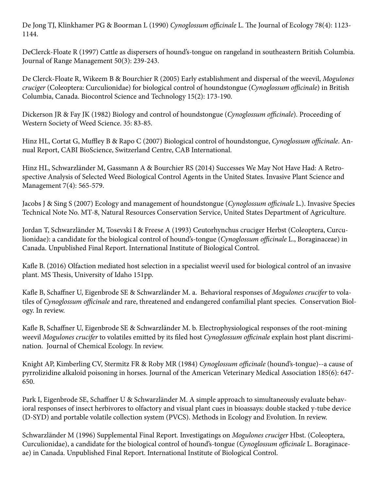De Jong TJ, Klinkhamer PG & Boorman L (1990) *Cynoglossum officinale* L. The Journal of Ecology 78(4): 1123- 1144.

DeClerck-Floate R (1997) Cattle as dispersers of hound's-tongue on rangeland in southeastern British Columbia. Journal of Range Management 50(3): 239-243.

De Clerck-Floate R, Wikeem B & Bourchier R (2005) Early establishment and dispersal of the weevil, *Mogulones cruciger* (Coleoptera: Curculionidae) for biological control of houndstongue (*Cynoglossum officinale*) in British Columbia, Canada. Biocontrol Science and Technology 15(2): 173-190.

Dickerson JR & Fay JK (1982) Biology and control of houndstongue (*Cynoglossum officinale*). Proceeding of Western Society of Weed Science. 35: 83-85.

Hinz HL, Cortat G, Muffley B & Rapo C (2007) Biological control of houndstongue, *Cynoglossum officinale*. Annual Report, CABI BioScience, Switzerland Centre, CAB International.

Hinz HL, Schwarzländer M, Gassmann A & Bourchier RS (2014) Successes We May Not Have Had: A Retrospective Analysis of Selected Weed Biological Control Agents in the United States. Invasive Plant Science and Management 7(4): 565-579.

Jacobs J & Sing S (2007) Ecology and management of houndstongue (*Cynoglossum officinale* L.). Invasive Species Technical Note No. MT-8, Natural Resources Conservation Service, United States Department of Agriculture.

Jordan T, Schwarzländer M, Tosevski I & Freese A (1993) Ceutorhynchus cruciger Herbst (Coleoptera, Curculionidae): a candidate for the biological control of hound's-tongue (*Cynoglossum officinale* L., Boraginaceae) in Canada. Unpublished Final Report. International Institute of Biological Control.

Kafle B. (2016) Olfaction mediated host selection in a specialist weevil used for biological control of an invasive plant. MS Thesis, University of Idaho 151pp.

Kafle B, Schaffner U, Eigenbrode SE & Schwarzländer M. a. Behavioral responses of *Mogulones crucifer* to volatiles of *Cynoglossum officinale* and rare, threatened and endangered confamilial plant species. Conservation Biology. In review.

Kafle B, Schaffner U, Eigenbrode SE & Schwarzländer M. b. Electrophysiological responses of the root-mining weevil *Mogulones crucifer* to volatiles emitted by its filed host *Cynoglossum officinale* explain host plant discrimination. Journal of Chemical Ecology. In review.

Knight AP, Kimberling CV, Stermitz FR & Roby MR (1984) *Cynoglossum officinale* (hound's-tongue)--a cause of pyrrolizidine alkaloid poisoning in horses. Journal of the American Veterinary Medical Association 185(6): 647- 650.

Park I, Eigenbrode SE, Schaffner U & Schwarzländer M. A simple approach to simultaneously evaluate behavioral responses of insect herbivores to olfactory and visual plant cues in bioassays: double stacked y-tube device (D-SYD) and portable volatile collection system (PVCS). Methods in Ecology and Evolution. In review.

Schwarzländer M (1996) Supplemental Final Report. Investigatings on *Mogulones cruciger* Hbst. (Coleoptera, Curculionidae), a candidate for the biological control of hound's-tongue (*Cynoglossum officinale* L. Boraginaceae) in Canada. Unpublished Final Report. International Institute of Biological Control.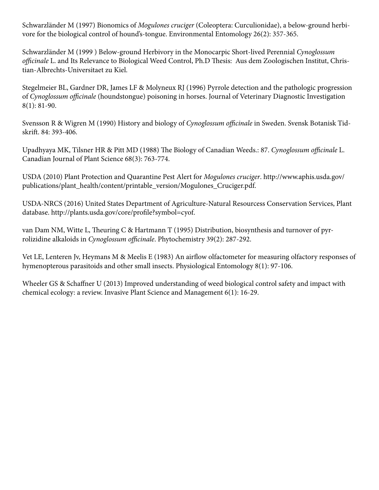Schwarzländer M (1997) Bionomics of *Mogulones cruciger* (Coleoptera: Curculionidae), a below-ground herbivore for the biological control of hound's-tongue. Environmental Entomology 26(2): 357-365.

Schwarzländer M (1999 ) Below-ground Herbivory in the Monocarpic Short-lived Perennial *Cynoglossum officinale* L. and Its Relevance to Biological Weed Control, Ph.D Thesis: Aus dem Zoologischen Institut, Christian-Albrechts-Universitaet zu Kiel.

Stegelmeier BL, Gardner DR, James LF & Molyneux RJ (1996) Pyrrole detection and the pathologic progression of *Cynoglossum officinale* (houndstongue) poisoning in horses. Journal of Veterinary Diagnostic Investigation 8(1): 81-90.

Svensson R & Wigren M (1990) History and biology of *Cynoglossum officinale* in Sweden. Svensk Botanisk Tidskrift. 84: 393-406.

Upadhyaya MK, Tilsner HR & Pitt MD (1988) The Biology of Canadian Weeds.: 87. *Cynoglossum officinale* L. Canadian Journal of Plant Science 68(3): 763-774.

USDA (2010) Plant Protection and Quarantine Pest Alert for *Mogulones cruciger*. http://www.aphis.usda.gov/ publications/plant\_health/content/printable\_version/Mogulones\_Cruciger.pdf.

USDA-NRCS (2016) United States Department of Agriculture-Natural Resourcess Conservation Services, Plant database. http://plants.usda.gov/core/profile?symbol=cyof.

van Dam NM, Witte L, Theuring C & Hartmann T (1995) Distribution, biosynthesis and turnover of pyrrolizidine alkaloids in *Cynoglossum officinale*. Phytochemistry 39(2): 287-292.

Vet LE, Lenteren Jv, Heymans M & Meelis E (1983) An airflow olfactometer for measuring olfactory responses of hymenopterous parasitoids and other small insects. Physiological Entomology 8(1): 97-106.

Wheeler GS & Schaffner U (2013) Improved understanding of weed biological control safety and impact with chemical ecology: a review. Invasive Plant Science and Management 6(1): 16-29.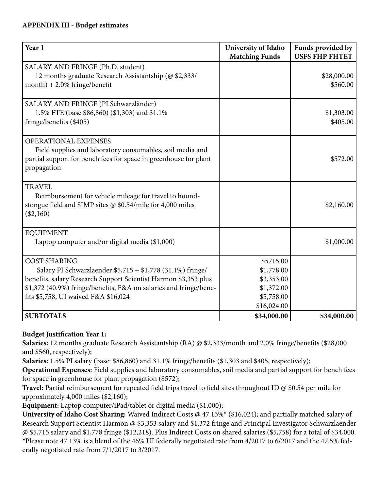### **APPENDIX III - Budget estimates**

| Year 1                                                                                                                                                                                                                                                            | University of Idaho<br><b>Matching Funds</b>                                     | Funds provided by<br><b>USFS FHP FHTET</b> |
|-------------------------------------------------------------------------------------------------------------------------------------------------------------------------------------------------------------------------------------------------------------------|----------------------------------------------------------------------------------|--------------------------------------------|
| SALARY AND FRINGE (Ph.D. student)<br>12 months graduate Research Assistantship (@ \$2,333/<br>$month$ ) + 2.0% fringe/benefit                                                                                                                                     |                                                                                  | \$28,000.00<br>\$560.00                    |
| SALARY AND FRINGE (PI Schwarzländer)<br>1.5% FTE (base \$86,860) (\$1,303) and 31.1%<br>fringe/benefits (\$405)                                                                                                                                                   |                                                                                  | \$1,303.00<br>\$405.00                     |
| <b>OPERATIONAL EXPENSES</b><br>Field supplies and laboratory consumables, soil media and<br>partial support for bench fees for space in greenhouse for plant<br>propagation                                                                                       |                                                                                  | \$572.00                                   |
| <b>TRAVEL</b><br>Reimbursement for vehicle mileage for travel to hound-<br>stongue field and SIMP sites $@$ \$0.54/mile for 4,000 miles<br>$(\$2,160)$                                                                                                            |                                                                                  | \$2,160.00                                 |
| <b>EQUIPMENT</b><br>Laptop computer and/or digital media (\$1,000)                                                                                                                                                                                                |                                                                                  | \$1,000.00                                 |
| <b>COST SHARING</b><br>Salary PI Schwarzlaender \$5,715 + \$1,778 (31.1%) fringe/<br>benefits, salary Research Support Scientist Harmon \$3,353 plus<br>\$1,372 (40.9%) fringe/benefits, F&A on salaries and fringe/bene-<br>fits \$5,758, UI waived F&A \$16,024 | \$5715.00<br>\$1,778.00<br>\$3,353.00<br>\$1,372.00<br>\$5,758.00<br>\$16,024.00 |                                            |
| <b>SUBTOTALS</b>                                                                                                                                                                                                                                                  | \$34,000.00                                                                      | \$34,000.00                                |

## **Budget Justification Year 1:**

**Salaries:** 12 months graduate Research Assistantship (RA) @ \$2,333/month and 2.0% fringe/benefits (\$28,000 and \$560, respectively);

**Salaries:** 1.5% PI salary (base: \$86,860) and 31.1% fringe/benefits (\$1,303 and \$405, respectively);

**Operational Expenses:** Field supplies and laboratory consumables, soil media and partial support for bench fees for space in greenhouse for plant propagation (\$572);

**Travel:** Partial reimbursement for repeated field trips travel to field sites throughout ID @ \$0.54 per mile for approximately 4,000 miles (\$2,160);

**Equipment:** Laptop computer/iPad/tablet or digital media (\$1,000);

**University of Idaho Cost Sharing:** Waived Indirect Costs @ 47.13%\* (\$16,024); and partially matched salary of Research Support Scientist Harmon @ \$3,353 salary and \$1,372 fringe and Principal Investigator Schwarzlaender @ \$5,715 salary and \$1,778 fringe (\$12,218). Plus Indirect Costs on shared salaries (\$5,758) for a total of \$34,000. \*Please note 47.13% is a blend of the 46% UI federally negotiated rate from 4/2017 to 6/2017 and the 47.5% federally negotiated rate from 7/1/2017 to 3/2017.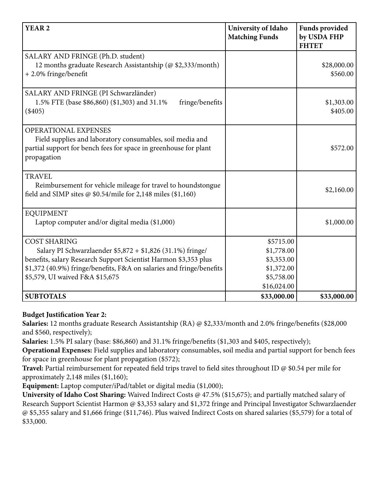| YEAR <sub>2</sub>                                                                                                                                                                                                                                               | University of Idaho<br><b>Matching Funds</b>                                     | <b>Funds provided</b><br>by USDA FHP<br><b>FHTET</b> |
|-----------------------------------------------------------------------------------------------------------------------------------------------------------------------------------------------------------------------------------------------------------------|----------------------------------------------------------------------------------|------------------------------------------------------|
| SALARY AND FRINGE (Ph.D. student)<br>12 months graduate Research Assistantship (@\$2,333/month)<br>$+2.0\%$ fringe/benefit                                                                                                                                      |                                                                                  | \$28,000.00<br>\$560.00                              |
| SALARY AND FRINGE (PI Schwarzländer)<br>1.5% FTE (base \$86,860) (\$1,303) and 31.1%<br>fringe/benefits<br>$(\$405)$                                                                                                                                            |                                                                                  | \$1,303.00<br>\$405.00                               |
| <b>OPERATIONAL EXPENSES</b><br>Field supplies and laboratory consumables, soil media and<br>partial support for bench fees for space in greenhouse for plant<br>propagation                                                                                     |                                                                                  | \$572.00                                             |
| <b>TRAVEL</b><br>Reimbursement for vehicle mileage for travel to houndstongue<br>field and SIMP sites @ $$0.54/mile$ for 2,148 miles (\$1,160)                                                                                                                  |                                                                                  | \$2,160.00                                           |
| <b>EQUIPMENT</b><br>Laptop computer and/or digital media (\$1,000)                                                                                                                                                                                              |                                                                                  | \$1,000.00                                           |
| <b>COST SHARING</b><br>Salary PI Schwarzlaender \$5,872 + \$1,826 (31.1%) fringe/<br>benefits, salary Research Support Scientist Harmon \$3,353 plus<br>\$1,372 (40.9%) fringe/benefits, F&A on salaries and fringe/benefits<br>\$5,579, UI waived F&A \$15,675 | \$5715.00<br>\$1,778.00<br>\$3,353.00<br>\$1,372.00<br>\$5,758.00<br>\$16,024.00 |                                                      |
| <b>SUBTOTALS</b>                                                                                                                                                                                                                                                | \$33,000.00                                                                      | \$33,000.00                                          |

## **Budget Justification Year 2:**

**Salaries:** 12 months graduate Research Assistantship (RA) @ \$2,333/month and 2.0% fringe/benefits (\$28,000 and \$560, respectively);

**Salaries:** 1.5% PI salary (base: \$86,860) and 31.1% fringe/benefits (\$1,303 and \$405, respectively);

**Operational Expenses:** Field supplies and laboratory consumables, soil media and partial support for bench fees for space in greenhouse for plant propagation (\$572);

**Travel:** Partial reimbursement for repeated field trips travel to field sites throughout ID @ \$0.54 per mile for approximately 2,148 miles (\$1,160);

**Equipment:** Laptop computer/iPad/tablet or digital media (\$1,000);

**University of Idaho Cost Sharing:** Waived Indirect Costs @ 47.5% (\$15,675); and partially matched salary of Research Support Scientist Harmon @ \$3,353 salary and \$1,372 fringe and Principal Investigator Schwarzlaender @ \$5,355 salary and \$1,666 fringe (\$11,746). Plus waived Indirect Costs on shared salaries (\$5,579) for a total of \$33,000.